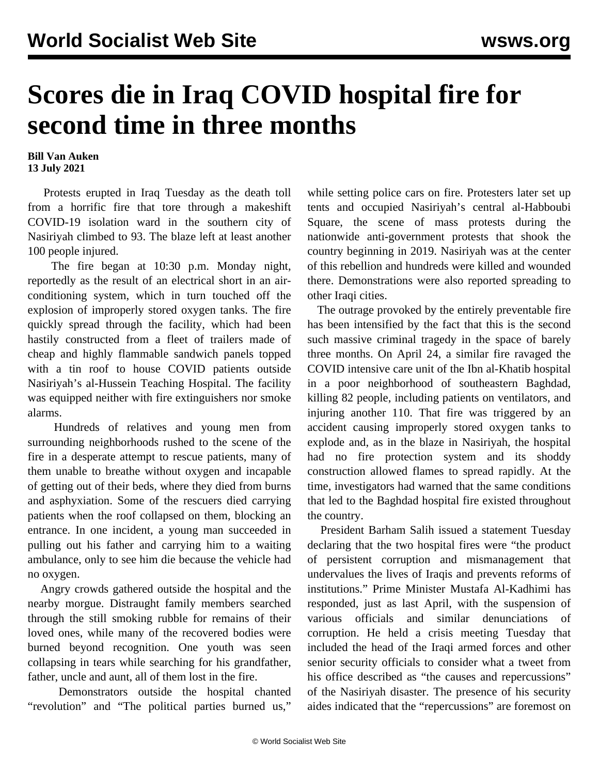## **Scores die in Iraq COVID hospital fire for second time in three months**

**Bill Van Auken 13 July 2021**

 Protests erupted in Iraq Tuesday as the death toll from a horrific fire that tore through a makeshift COVID-19 isolation ward in the southern city of Nasiriyah climbed to 93. The blaze left at least another 100 people injured.

 The fire began at 10:30 p.m. Monday night, reportedly as the result of an electrical short in an airconditioning system, which in turn touched off the explosion of improperly stored oxygen tanks. The fire quickly spread through the facility, which had been hastily constructed from a fleet of trailers made of cheap and highly flammable sandwich panels topped with a tin roof to house COVID patients outside Nasiriyah's al-Hussein Teaching Hospital. The facility was equipped neither with fire extinguishers nor smoke alarms.

 Hundreds of relatives and young men from surrounding neighborhoods rushed to the scene of the fire in a desperate attempt to rescue patients, many of them unable to breathe without oxygen and incapable of getting out of their beds, where they died from burns and asphyxiation. Some of the rescuers died carrying patients when the roof collapsed on them, blocking an entrance. In one incident, a young man succeeded in pulling out his father and carrying him to a waiting ambulance, only to see him die because the vehicle had no oxygen.

 Angry crowds gathered outside the hospital and the nearby morgue. Distraught family members searched through the still smoking rubble for remains of their loved ones, while many of the recovered bodies were burned beyond recognition. One youth was seen collapsing in tears while searching for his grandfather, father, uncle and aunt, all of them lost in the fire.

 Demonstrators outside the hospital chanted "revolution" and "The political parties burned us,"

while setting police cars on fire. Protesters later set up tents and occupied Nasiriyah's central al-Habboubi Square, the scene of mass protests during the nationwide anti-government protests that shook the country beginning in 2019. Nasiriyah was at the center of this rebellion and hundreds were killed and wounded there. Demonstrations were also reported spreading to other Iraqi cities.

 The outrage provoked by the entirely preventable fire has been intensified by the fact that this is the second such massive criminal tragedy in the space of barely three months. On April 24, a similar fire ravaged the COVID intensive care unit of the Ibn al-Khatib hospital in a poor neighborhood of southeastern Baghdad, killing 82 people, including patients on ventilators, and injuring another 110. That fire was triggered by an accident causing improperly stored oxygen tanks to explode and, as in the blaze in Nasiriyah, the hospital had no fire protection system and its shoddy construction allowed flames to spread rapidly. At the time, investigators had warned that the same conditions that led to the Baghdad hospital fire existed throughout the country.

 President Barham Salih issued a statement Tuesday declaring that the two hospital fires were "the product of persistent corruption and mismanagement that undervalues the lives of Iraqis and prevents reforms of institutions." Prime Minister Mustafa Al-Kadhimi has responded, just as last April, with the suspension of various officials and similar denunciations of corruption. He held a crisis meeting Tuesday that included the head of the Iraqi armed forces and other senior security officials to consider what a tweet from his office described as "the causes and repercussions" of the Nasiriyah disaster. The presence of his security aides indicated that the "repercussions" are foremost on